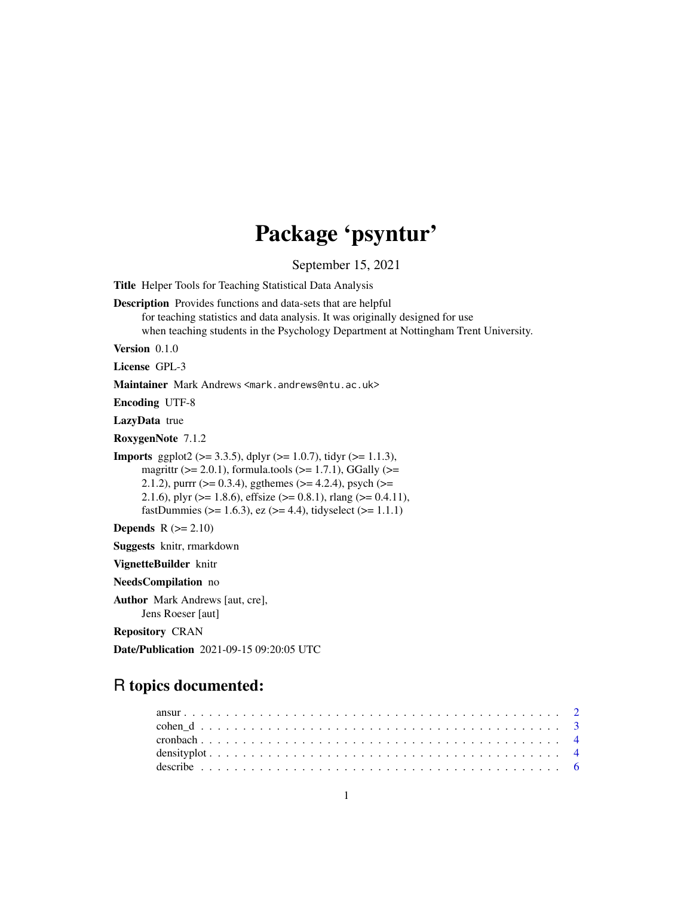# Package 'psyntur'

September 15, 2021

<span id="page-0-0"></span>Title Helper Tools for Teaching Statistical Data Analysis

Description Provides functions and data-sets that are helpful

for teaching statistics and data analysis. It was originally designed for use when teaching students in the Psychology Department at Nottingham Trent University.

Version 0.1.0

License GPL-3

Maintainer Mark Andrews <mark.andrews@ntu.ac.uk>

Encoding UTF-8

LazyData true

RoxygenNote 7.1.2

**Imports** ggplot2 ( $> = 3.3.5$ ), dplyr ( $> = 1.0.7$ ), tidyr ( $> = 1.1.3$ ), magrittr  $(>= 2.0.1)$ , formula.tools  $(>= 1.7.1)$ , GGally  $(>= 1.7.1)$ 2.1.2), purrr ( $>= 0.3.4$ ), ggthemes ( $>= 4.2.4$ ), psych ( $>=$ 2.1.6), plyr ( $>= 1.8.6$ ), effsize ( $>= 0.8.1$ ), rlang ( $>= 0.4.11$ ), fastDummies ( $> = 1.6.3$ ), ez ( $>= 4.4$ ), tidyselect ( $>= 1.1.1$ )

Depends  $R$  ( $>= 2.10$ )

Suggests knitr, rmarkdown

VignetteBuilder knitr

NeedsCompilation no

Author Mark Andrews [aut, cre],

Jens Roeser [aut]

Repository CRAN

Date/Publication 2021-09-15 09:20:05 UTC

# R topics documented: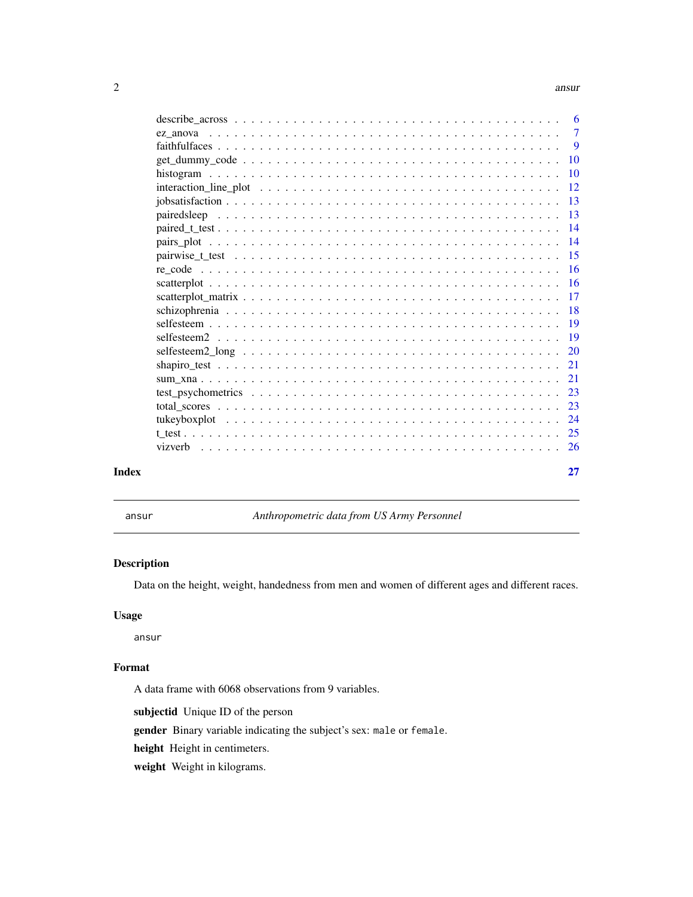#### <span id="page-1-0"></span> $2 \cos \theta$  ansure  $\cos \theta$  and  $\sin \theta$  and  $\sin \theta$  and  $\sin \theta$  and  $\sin \theta$  and  $\sin \theta$  and  $\sin \theta$  and  $\sin \theta$  and  $\sin \theta$  and  $\sin \theta$  and  $\sin \theta$  and  $\sin \theta$  and  $\sin \theta$  and  $\sin \theta$  and  $\sin \theta$  and  $\sin \theta$  and  $\sin \theta$  and  $\sin \theta$  and  $\sin \theta$  a

|       |                                                                                                                                                      | 6         |
|-------|------------------------------------------------------------------------------------------------------------------------------------------------------|-----------|
|       |                                                                                                                                                      | $\tau$    |
|       |                                                                                                                                                      | 9         |
|       |                                                                                                                                                      | 10        |
|       |                                                                                                                                                      | 10        |
|       |                                                                                                                                                      | 12        |
|       |                                                                                                                                                      | 13        |
|       |                                                                                                                                                      | 13        |
|       |                                                                                                                                                      | 14        |
|       |                                                                                                                                                      | 14        |
|       |                                                                                                                                                      | -15       |
|       |                                                                                                                                                      | 16        |
|       |                                                                                                                                                      | <b>16</b> |
|       |                                                                                                                                                      | 17        |
|       |                                                                                                                                                      | 18        |
|       |                                                                                                                                                      | 19        |
|       |                                                                                                                                                      | 19        |
|       | selfesteem $2 \text{ long } \dots \dots \dots \dots \dots \dots \dots \dots \dots \dots \dots \dots \dots \dots \dots$                               | 20        |
|       |                                                                                                                                                      | 21        |
|       |                                                                                                                                                      | 21        |
|       | test psychometrics $\ldots$ , $\ldots$ , $\ldots$ , $\ldots$ , $\ldots$ , $\ldots$ , $\ldots$ , $\ldots$ , $\ldots$ , $\ldots$ , $\ldots$ , $\ldots$ | 23        |
|       |                                                                                                                                                      | 23        |
|       |                                                                                                                                                      | 24        |
|       |                                                                                                                                                      | 25        |
|       |                                                                                                                                                      | -26       |
|       |                                                                                                                                                      |           |
| Index |                                                                                                                                                      | 27        |

ansur *Anthropometric data from US Army Personnel*

#### Description

Data on the height, weight, handedness from men and women of different ages and different races.

#### Usage

ansur

# Format

A data frame with 6068 observations from 9 variables.

subjectid Unique ID of the person

gender Binary variable indicating the subject's sex: male or female.

height Height in centimeters.

weight Weight in kilograms.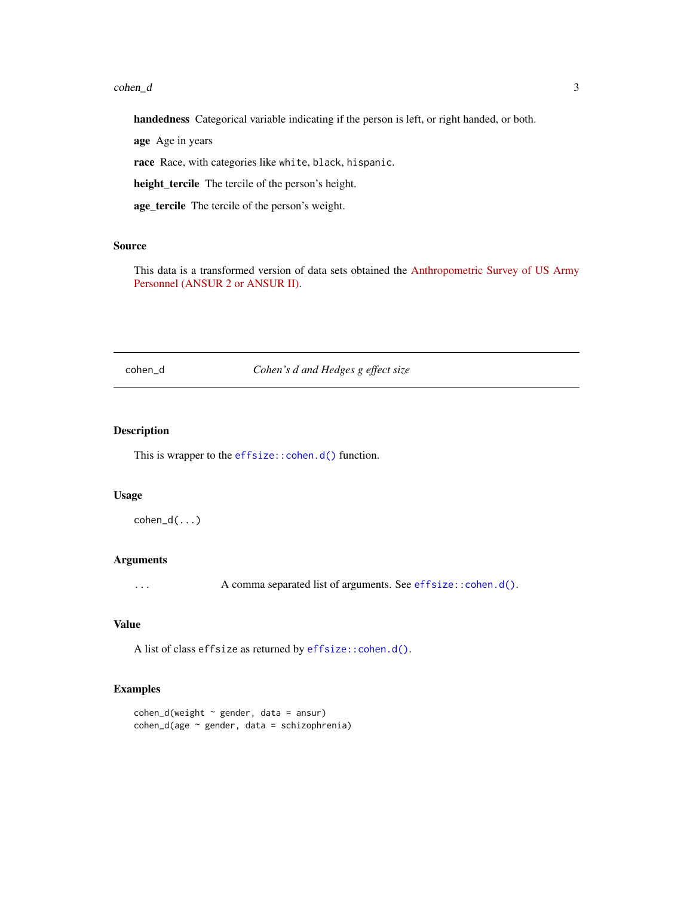#### <span id="page-2-0"></span>cohen\_d 3

handedness Categorical variable indicating if the person is left, or right handed, or both.

age Age in years

race Race, with categories like white, black, hispanic.

height\_tercile The tercile of the person's height.

age\_tercile The tercile of the person's weight.

#### Source

This data is a transformed version of data sets obtained the [Anthropometric Survey of US Army](https://www.openlab.psu.edu/ansur2/) [Personnel \(ANSUR 2 or ANSUR II\).](https://www.openlab.psu.edu/ansur2/)

cohen\_d *Cohen's d and Hedges g effect size*

### Description

This is wrapper to the [effsize::cohen.d\(\)](#page-0-0) function.

#### Usage

 $cohen_d(....)$ 

# Arguments

... A comma separated list of arguments. See [effsize::cohen.d\(\)](#page-0-0).

#### Value

A list of class effsize as returned by [effsize::cohen.d\(\)](#page-0-0).

#### Examples

```
cohen_d(weight \sim gender, data = ansur)
cohen_d(age ~ gender, data = schizophrenia)
```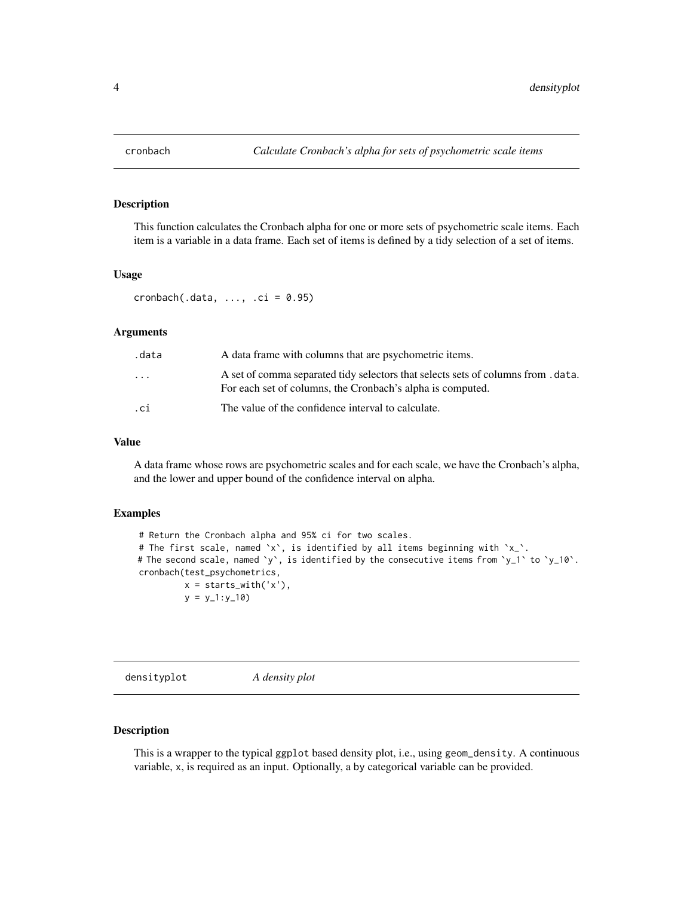<span id="page-3-0"></span>

#### Description

This function calculates the Cronbach alpha for one or more sets of psychometric scale items. Each item is a variable in a data frame. Each set of items is defined by a tidy selection of a set of items.

#### Usage

 $cronbach(.data, ..., .ci = 0.95)$ 

#### Arguments

| .data                   | A data frame with columns that are psychometric items.                                                                                          |
|-------------------------|-------------------------------------------------------------------------------------------------------------------------------------------------|
| $\cdot$ $\cdot$ $\cdot$ | A set of comma separated tidy selectors that selects sets of columns from . data.<br>For each set of columns, the Cronbach's alpha is computed. |
| .ci                     | The value of the confidence interval to calculate.                                                                                              |

#### Value

A data frame whose rows are psychometric scales and for each scale, we have the Cronbach's alpha, and the lower and upper bound of the confidence interval on alpha.

#### Examples

```
# Return the Cronbach alpha and 95% ci for two scales.
# The first scale, named `x`, is identified by all items beginning with `x_`.
# The second scale, named `y`, is identified by the consecutive items from `y_1` to `y_10`.
cronbach(test_psychometrics,
         x = starts_with('x'),
         y = y_1:y_10
```
densityplot *A density plot*

#### Description

This is a wrapper to the typical ggplot based density plot, i.e., using geom\_density. A continuous variable, x, is required as an input. Optionally, a by categorical variable can be provided.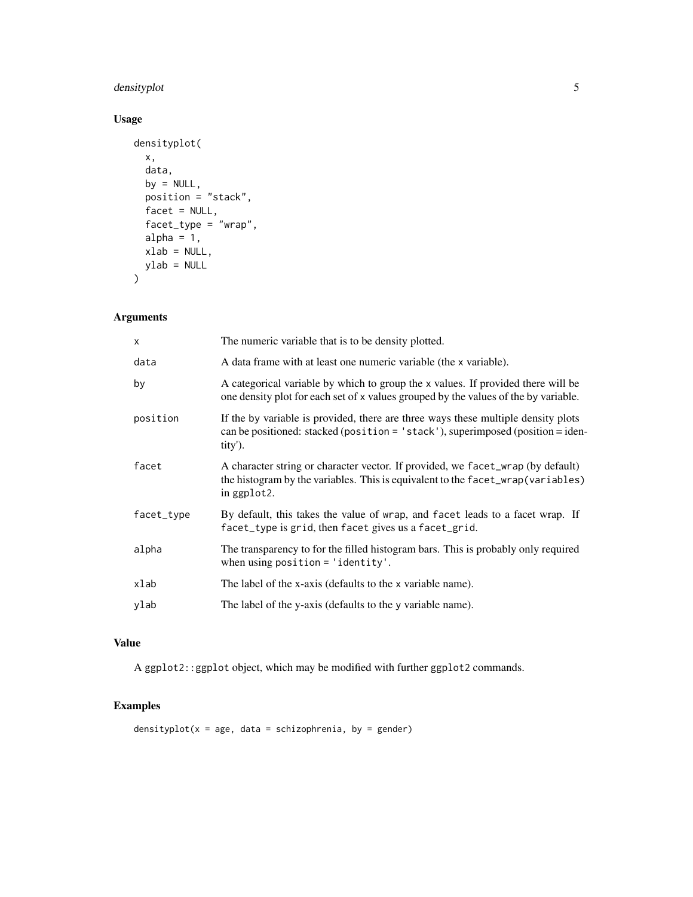# densityplot 5

# Usage

```
densityplot(
  x,
  data,
  by = NULL,
  position = "stack",
  facet = NULL,factor_type = 'wrap'',alpha = 1,
  xlab = NULL,ylab = NULL
\mathcal{L}
```
#### Arguments

| $\times$   | The numeric variable that is to be density plotted.                                                                                                                                       |
|------------|-------------------------------------------------------------------------------------------------------------------------------------------------------------------------------------------|
| data       | A data frame with at least one numeric variable (the x variable).                                                                                                                         |
| by         | A categorical variable by which to group the x values. If provided there will be<br>one density plot for each set of x values grouped by the values of the by variable.                   |
| position   | If the by variable is provided, there are three ways these multiple density plots<br>can be positioned: stacked (position = $\text{'stack'}$ ), superimposed (position = iden-<br>tity'). |
| facet      | A character string or character vector. If provided, we facet_wrap (by default)<br>the histogram by the variables. This is equivalent to the facet_wrap(variables)<br>in ggplot2.         |
| facet_type | By default, this takes the value of wrap, and facet leads to a facet wrap. If<br>facet_type is grid, then facet gives us a facet_grid.                                                    |
| alpha      | The transparency to for the filled histogram bars. This is probably only required<br>when using position $=$ 'identity'.                                                                  |
| xlab       | The label of the x-axis (defaults to the x variable name).                                                                                                                                |
| ylab       | The label of the y-axis (defaults to the y variable name).                                                                                                                                |

# Value

A ggplot2::ggplot object, which may be modified with further ggplot2 commands.

# Examples

densityplot( $x = age$ , data = schizophrenia, by = gender)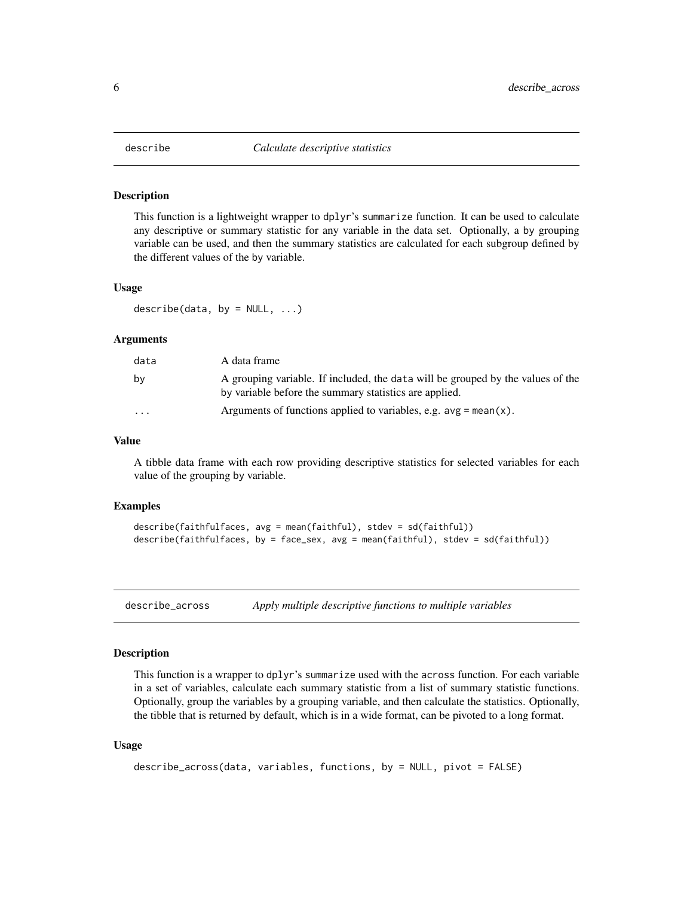<span id="page-5-0"></span>

#### Description

This function is a lightweight wrapper to dplyr's summarize function. It can be used to calculate any descriptive or summary statistic for any variable in the data set. Optionally, a by grouping variable can be used, and then the summary statistics are calculated for each subgroup defined by the different values of the by variable.

#### Usage

describe(data, by =  $NULL, ...)$ 

#### Arguments

| data                    | A data frame                                                                                                                              |
|-------------------------|-------------------------------------------------------------------------------------------------------------------------------------------|
| bv                      | A grouping variable. If included, the data will be grouped by the values of the<br>by variable before the summary statistics are applied. |
| $\cdot$ $\cdot$ $\cdot$ | Arguments of functions applied to variables, e.g. $avg = mean(x)$ .                                                                       |

#### Value

A tibble data frame with each row providing descriptive statistics for selected variables for each value of the grouping by variable.

#### Examples

```
describe(faithfulfaces, avg = mean(faithful), stdev = sd(faithful))
describe(faithfulfaces, by = face_sex, avg = mean(faithful), stdev = sd(faithful))
```
describe\_across *Apply multiple descriptive functions to multiple variables*

#### Description

This function is a wrapper to dplyr's summarize used with the across function. For each variable in a set of variables, calculate each summary statistic from a list of summary statistic functions. Optionally, group the variables by a grouping variable, and then calculate the statistics. Optionally, the tibble that is returned by default, which is in a wide format, can be pivoted to a long format.

#### Usage

```
describe_across(data, variables, functions, by = NULL, pivot = FALSE)
```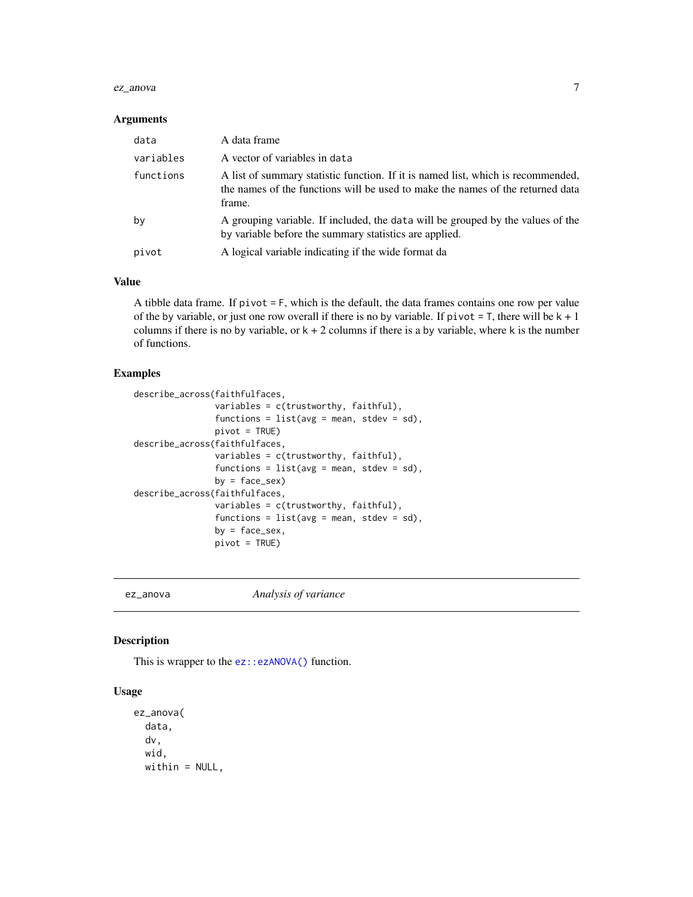#### <span id="page-6-0"></span>ez\_anova 7

#### Arguments

| data      | A data frame                                                                                                                                                                 |
|-----------|------------------------------------------------------------------------------------------------------------------------------------------------------------------------------|
| variables | A vector of variables in data                                                                                                                                                |
| functions | A list of summary statistic function. If it is named list, which is recommended,<br>the names of the functions will be used to make the names of the returned data<br>frame. |
| by        | A grouping variable. If included, the data will be grouped by the values of the<br>by variable before the summary statistics are applied.                                    |
| pivot     | A logical variable indicating if the wide format da                                                                                                                          |

#### Value

A tibble data frame. If  $pivot = F$ , which is the default, the data frames contains one row per value of the by variable, or just one row overall if there is no by variable. If  $\pi$  ivot = T, there will be  $k + 1$ columns if there is no by variable, or  $k + 2$  columns if there is a by variable, where k is the number of functions.

#### Examples

```
describe_across(faithfulfaces,
                variables = c(trustworthy, faithful),
                functions = list(avg = mean, stdev = sd),
                pivot = TRUE)
describe_across(faithfulfaces,
                variables = c(trustworthy, faithful),
                functions = list(avg = mean, stdev = sd),
                by = face\_sex)
describe_across(faithfulfaces,
                variables = c(trustworthy, faithful),
                functions = list(avg = mean, stdev = sd),
                by = face_sex,
                pivot = TRUE)
```
ez\_anova *Analysis of variance*

#### Description

This is wrapper to the [ez::ezANOVA\(\)](#page-0-0) function.

#### Usage

```
ez_anova(
  data,
  dv,
  wid,
 within = NULL,
```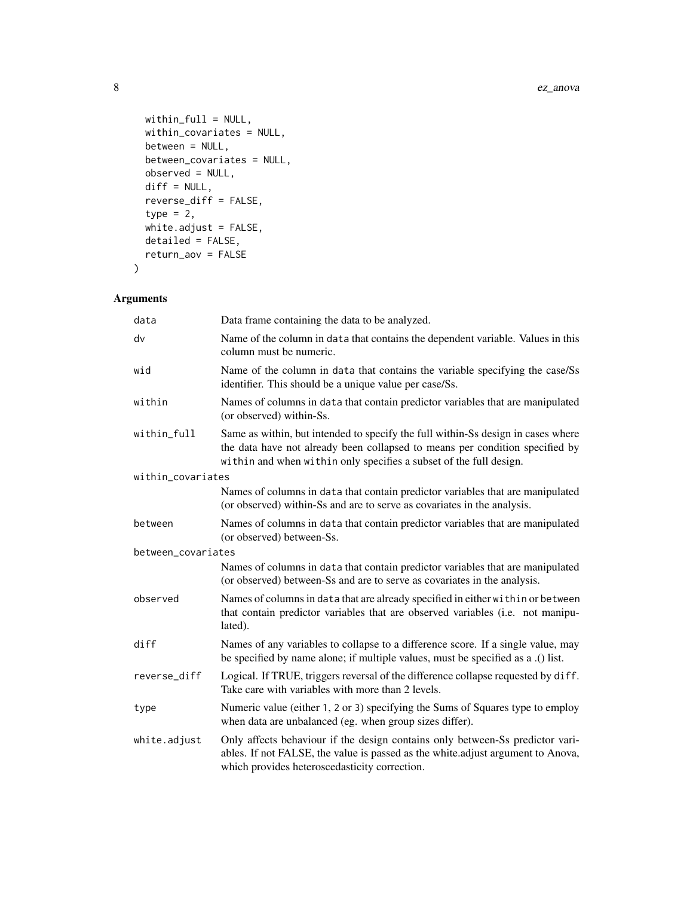```
within_full = NULL,
 within_covariates = NULL,
 between = NULL,
 between_covariates = NULL,
 observed = NULL,
 diff = NULL,
 reverse_diff = FALSE,
 type = 2,
 white.adjust = FALSE,
 detailed = FALSE,
 return_aov = FALSE
\mathcal{L}
```
# Arguments

| data               | Data frame containing the data to be analyzed.                                                                                                                                                                                         |
|--------------------|----------------------------------------------------------------------------------------------------------------------------------------------------------------------------------------------------------------------------------------|
| dv                 | Name of the column in data that contains the dependent variable. Values in this<br>column must be numeric.                                                                                                                             |
| wid                | Name of the column in data that contains the variable specifying the case/Ss<br>identifier. This should be a unique value per case/Ss.                                                                                                 |
| within             | Names of columns in data that contain predictor variables that are manipulated<br>(or observed) within-Ss.                                                                                                                             |
| within_full        | Same as within, but intended to specify the full within-Ss design in cases where<br>the data have not already been collapsed to means per condition specified by<br>within and when within only specifies a subset of the full design. |
| within covariates  |                                                                                                                                                                                                                                        |
|                    | Names of columns in data that contain predictor variables that are manipulated<br>(or observed) within-Ss and are to serve as covariates in the analysis.                                                                              |
| between            | Names of columns in data that contain predictor variables that are manipulated<br>(or observed) between-Ss.                                                                                                                            |
| between_covariates |                                                                                                                                                                                                                                        |
|                    | Names of columns in data that contain predictor variables that are manipulated<br>(or observed) between-Ss and are to serve as covariates in the analysis.                                                                             |
| observed           | Names of columns in data that are already specified in either within or between<br>that contain predictor variables that are observed variables (i.e. not manipu-<br>lated).                                                           |
| diff               | Names of any variables to collapse to a difference score. If a single value, may<br>be specified by name alone; if multiple values, must be specified as a .() list.                                                                   |
| reverse_diff       | Logical. If TRUE, triggers reversal of the difference collapse requested by diff.<br>Take care with variables with more than 2 levels.                                                                                                 |
| type               | Numeric value (either 1, 2 or 3) specifying the Sums of Squares type to employ<br>when data are unbalanced (eg. when group sizes differ).                                                                                              |
| white.adjust       | Only affects behaviour if the design contains only between-Ss predictor vari-<br>ables. If not FALSE, the value is passed as the white.adjust argument to Anova,<br>which provides heteroscedasticity correction.                      |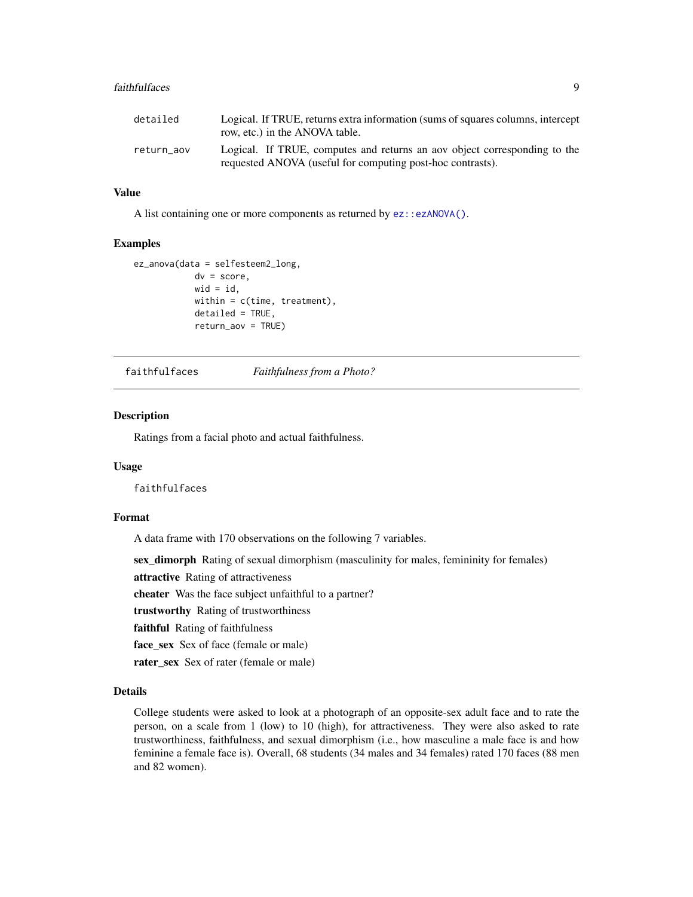#### <span id="page-8-0"></span>faithfulfaces 9

| detailed   | Logical. If TRUE, returns extra information (sums of squares columns, intercept<br>row, etc.) in the ANOVA table.                       |
|------------|-----------------------------------------------------------------------------------------------------------------------------------------|
| return aov | Logical. If TRUE, computes and returns an aov object corresponding to the<br>requested ANOVA (useful for computing post-hoc contrasts). |

#### Value

A list containing one or more components as returned by [ez::ezANOVA\(\)](#page-0-0).

#### Examples

```
ez_anova(data = selfesteem2_long,
            dv = score,
            wid = id,
            within = c(time, treatment),
            detailed = TRUE,
            return_aov = TRUE)
```
faithfulfaces *Faithfulness from a Photo?*

#### Description

Ratings from a facial photo and actual faithfulness.

#### Usage

faithfulfaces

#### Format

A data frame with 170 observations on the following 7 variables.

sex\_dimorph Rating of sexual dimorphism (masculinity for males, femininity for females)

attractive Rating of attractiveness

cheater Was the face subject unfaithful to a partner?

trustworthy Rating of trustworthiness

faithful Rating of faithfulness

face\_sex Sex of face (female or male)

rater\_sex Sex of rater (female or male)

#### Details

College students were asked to look at a photograph of an opposite-sex adult face and to rate the person, on a scale from 1 (low) to 10 (high), for attractiveness. They were also asked to rate trustworthiness, faithfulness, and sexual dimorphism (i.e., how masculine a male face is and how feminine a female face is). Overall, 68 students (34 males and 34 females) rated 170 faces (88 men and 82 women).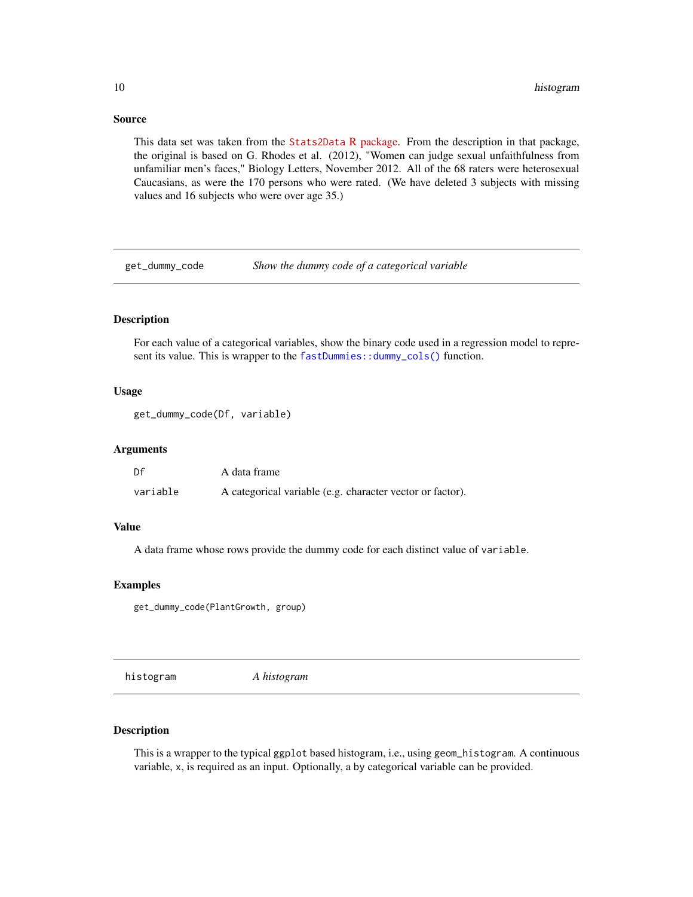#### <span id="page-9-0"></span>Source

This data set was taken from the [Stats2Data](https://cran.r-project.org/package=Stat2Data) R package. From the description in that package, the original is based on G. Rhodes et al. (2012), "Women can judge sexual unfaithfulness from unfamiliar men's faces," Biology Letters, November 2012. All of the 68 raters were heterosexual Caucasians, as were the 170 persons who were rated. (We have deleted 3 subjects with missing values and 16 subjects who were over age 35.)

get\_dummy\_code *Show the dummy code of a categorical variable*

#### Description

For each value of a categorical variables, show the binary code used in a regression model to represent its value. This is wrapper to the [fastDummies::dummy\\_cols\(\)](#page-0-0) function.

#### Usage

```
get_dummy_code(Df, variable)
```
### Arguments

| Df       | A data frame                                              |
|----------|-----------------------------------------------------------|
| variable | A categorical variable (e.g. character vector or factor). |

#### Value

A data frame whose rows provide the dummy code for each distinct value of variable.

#### Examples

get\_dummy\_code(PlantGrowth, group)

histogram *A histogram*

#### Description

This is a wrapper to the typical ggplot based histogram, i.e., using geom\_histogram. A continuous variable, x, is required as an input. Optionally, a by categorical variable can be provided.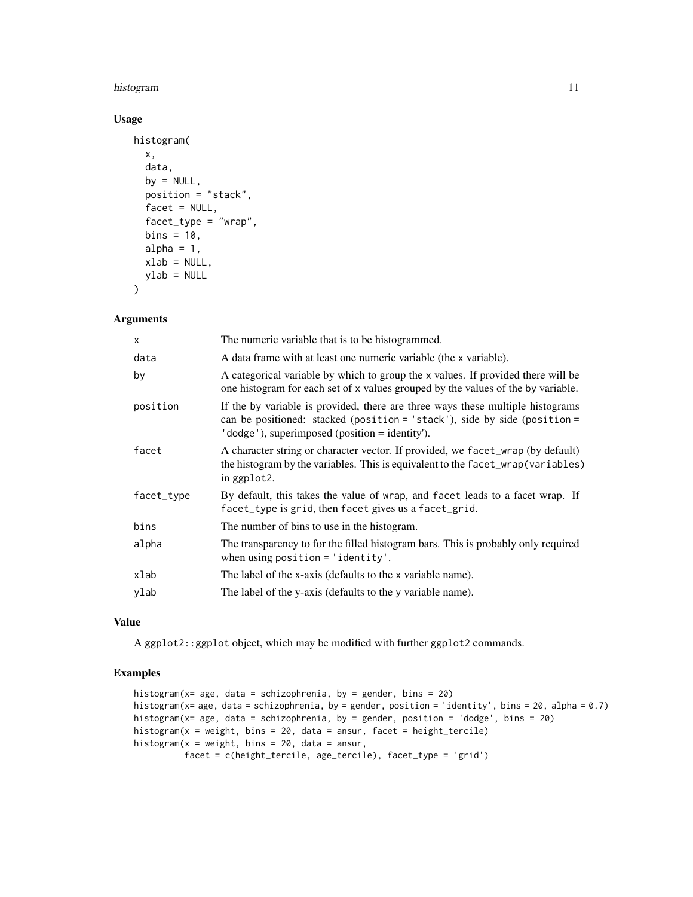#### histogram 11

#### Usage

```
histogram(
  x,
  data,
 by = NULL,
 position = "stack",
  facet = NULL,facet_type = "wrap",
 bins = 10,
  alpha = 1,
  xlab = NULL,
 ylab = NULL
\mathcal{L}
```
#### Arguments

| $\mathsf{x}$ | The numeric variable that is to be histogrammed.                                                                                                                                                              |
|--------------|---------------------------------------------------------------------------------------------------------------------------------------------------------------------------------------------------------------|
| data         | A data frame with at least one numeric variable (the x variable).                                                                                                                                             |
| by           | A categorical variable by which to group the x values. If provided there will be<br>one histogram for each set of x values grouped by the values of the by variable.                                          |
| position     | If the by variable is provided, there are three ways these multiple histograms<br>can be positioned: stacked (position = 'stack'), side by side (position =<br>'dodge'), superimposed (position = identity'). |
| facet        | A character string or character vector. If provided, we facet_wrap (by default)<br>the histogram by the variables. This is equivalent to the facet_wrap(variables)<br>in ggplot2.                             |
| facet_type   | By default, this takes the value of wrap, and facet leads to a facet wrap. If<br>facet_type is grid, then facet gives us a facet_grid.                                                                        |
| bins         | The number of bins to use in the histogram.                                                                                                                                                                   |
| alpha        | The transparency to for the filled histogram bars. This is probably only required<br>when using position = $'$ identity'.                                                                                     |
| xlab         | The label of the x-axis (defaults to the x variable name).                                                                                                                                                    |
| ylab         | The label of the y-axis (defaults to the y variable name).                                                                                                                                                    |
|              |                                                                                                                                                                                                               |

#### Value

A ggplot2::ggplot object, which may be modified with further ggplot2 commands.

#### Examples

```
histogram(x= age, data = schizophrenia, by = gender, bins = 20)
histogram(x= age, data = schizophrenia, by = gender, position = 'identity', bins = 20, alpha = 0.7)
histogram(x= age, data = schizophrenia, by = gender, position = 'dodge', bins = 20)
histogram(x = weight, bins = 20, data = ansur, facet = height_tercile)
histogram(x = weight, bins = 20, data = ansur,
          facet = c(height_tercile, age_tercile), facet_type = 'grid')
```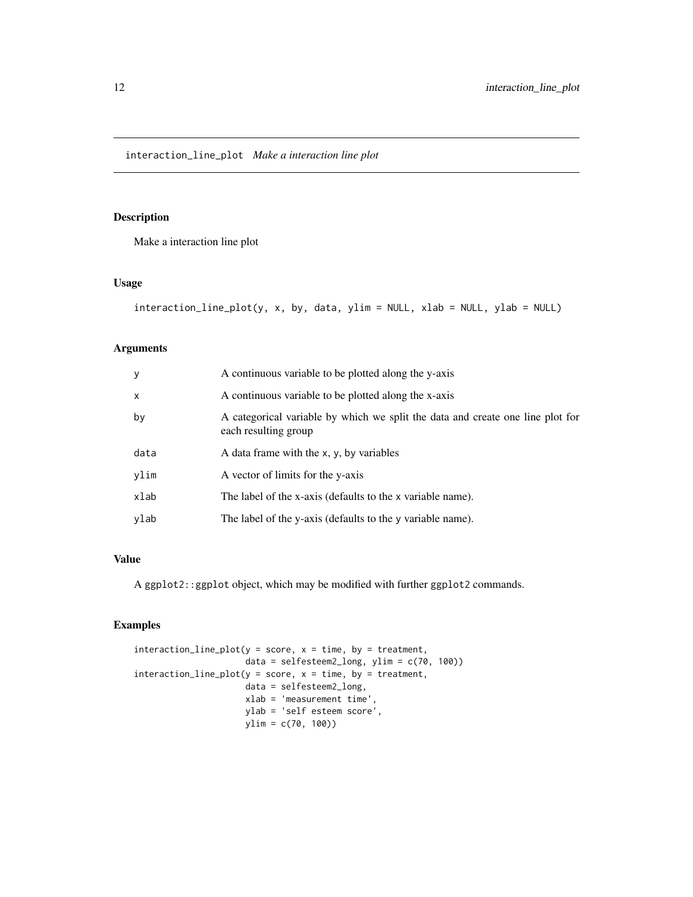<span id="page-11-0"></span>interaction\_line\_plot *Make a interaction line plot*

#### Description

Make a interaction line plot

#### Usage

```
interaction_line_plot(y, x, by, data, ylim = NULL, xlab = NULL, ylab = NULL)
```
# Arguments

| y            | A continuous variable to be plotted along the y-axis                                                   |
|--------------|--------------------------------------------------------------------------------------------------------|
| $\mathsf{x}$ | A continuous variable to be plotted along the x-axis                                                   |
| by           | A categorical variable by which we split the data and create one line plot for<br>each resulting group |
| data         | A data frame with the x, y, by variables                                                               |
| ylim         | A vector of limits for the y-axis                                                                      |
| xlab         | The label of the x-axis (defaults to the x variable name).                                             |
| ylab         | The label of the y-axis (defaults to the y variable name).                                             |

#### Value

A ggplot2::ggplot object, which may be modified with further ggplot2 commands.

#### Examples

```
interaction\_line\_plot(y = score, x = time, by = treatment,data = selfesteem2_long, ylim = c(70, 100))
interaction\_line\_plot(y = score, x = time, by = treatment,data = selfesteem2_long,
                      xlab = 'measurement time',
                      ylab = 'self esteem score',
                      ylim = c(70, 100))
```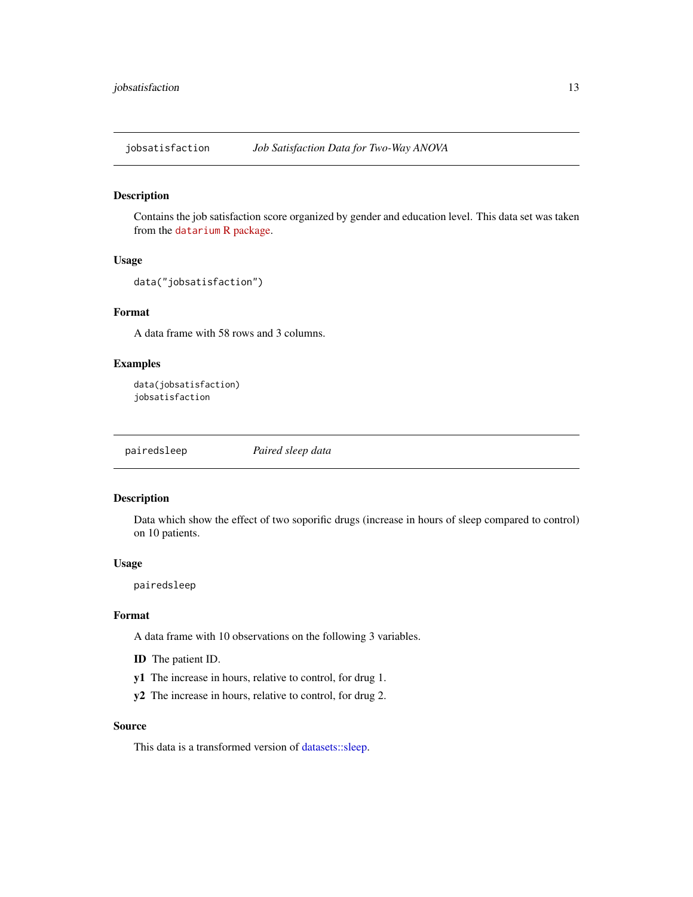<span id="page-12-0"></span>jobsatisfaction *Job Satisfaction Data for Two-Way ANOVA*

#### Description

Contains the job satisfaction score organized by gender and education level. This data set was taken from the datarium [R package.](https://cran.r-project.org/package=datarium)

#### Usage

```
data("jobsatisfaction")
```
#### Format

A data frame with 58 rows and 3 columns.

#### Examples

```
data(jobsatisfaction)
jobsatisfaction
```
pairedsleep *Paired sleep data*

#### Description

Data which show the effect of two soporific drugs (increase in hours of sleep compared to control) on 10 patients.

#### Usage

pairedsleep

#### Format

A data frame with 10 observations on the following 3 variables.

- ID The patient ID.
- y1 The increase in hours, relative to control, for drug 1.
- y2 The increase in hours, relative to control, for drug 2.

#### Source

This data is a transformed version of [datasets::sleep.](#page-0-0)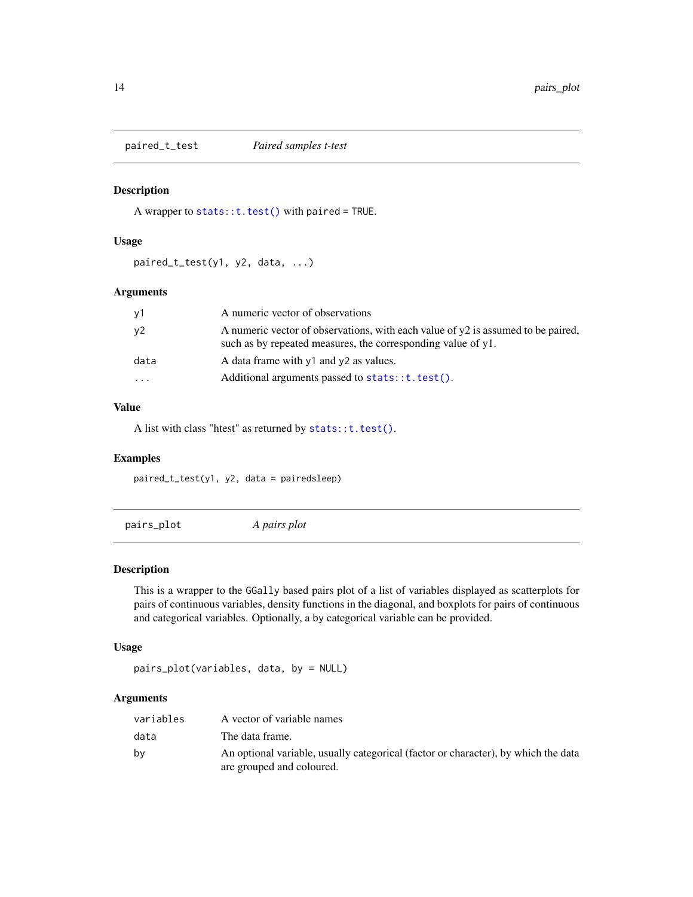<span id="page-13-0"></span>paired\_t\_test *Paired samples t-test*

# Description

A wrapper to [stats::t.test\(\)](#page-0-0) with paired = TRUE.

#### Usage

paired\_t\_test(y1, y2, data, ...)

#### Arguments

| у1   | A numeric vector of observations                                                                                                                   |
|------|----------------------------------------------------------------------------------------------------------------------------------------------------|
| у2.  | A numeric vector of observations, with each value of $y2$ is assumed to be paired,<br>such as by repeated measures, the corresponding value of y1. |
| data | A data frame with $y1$ and $y2$ as values.                                                                                                         |
| .    | Additional arguments passed to stats::t.test().                                                                                                    |
|      |                                                                                                                                                    |

#### Value

A list with class "htest" as returned by [stats::t.test\(\)](#page-0-0).

#### Examples

paired\_t\_test(y1, y2, data = pairedsleep)

pairs\_plot *A pairs plot*

#### Description

This is a wrapper to the GGally based pairs plot of a list of variables displayed as scatterplots for pairs of continuous variables, density functions in the diagonal, and boxplots for pairs of continuous and categorical variables. Optionally, a by categorical variable can be provided.

#### Usage

pairs\_plot(variables, data, by = NULL)

# Arguments

| variables | A vector of variable names                                                                                      |
|-----------|-----------------------------------------------------------------------------------------------------------------|
| data      | The data frame.                                                                                                 |
| by        | An optional variable, usually categorical (factor or character), by which the data<br>are grouped and coloured. |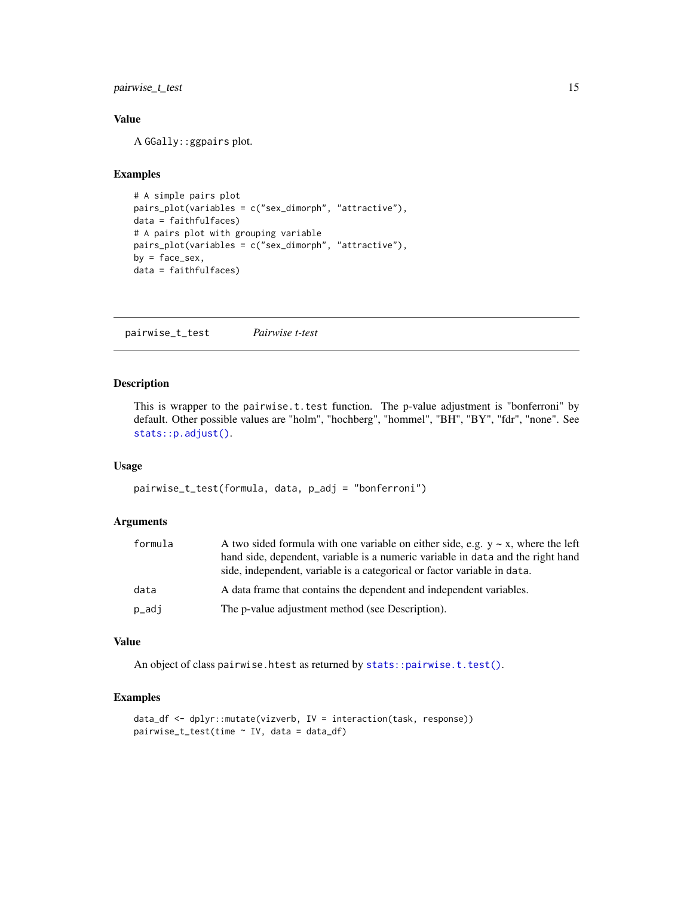<span id="page-14-0"></span>pairwise\_t\_test 15

#### Value

A GGally::ggpairs plot.

#### Examples

```
# A simple pairs plot
pairs_plot(variables = c("sex_dimorph", "attractive"),
data = faithfulfaces)
# A pairs plot with grouping variable
pairs_plot(variables = c("sex_dimorph", "attractive"),
by = face\_sex,
data = faithfulfaces)
```
pairwise\_t\_test *Pairwise t-test*

#### Description

This is wrapper to the pairwise.t.test function. The p-value adjustment is "bonferroni" by default. Other possible values are "holm", "hochberg", "hommel", "BH", "BY", "fdr", "none". See [stats::p.adjust\(\)](#page-0-0).

#### Usage

```
pairwise_t_test(formula, data, p_adj = "bonferroni")
```
#### Arguments

| formula | A two sided formula with one variable on either side, e.g. $y \sim x$ , where the left<br>hand side, dependent, variable is a numeric variable in data and the right hand<br>side, independent, variable is a categorical or factor variable in data. |
|---------|-------------------------------------------------------------------------------------------------------------------------------------------------------------------------------------------------------------------------------------------------------|
| data    | A data frame that contains the dependent and independent variables.                                                                                                                                                                                   |
| p_adj   | The p-value adjustment method (see Description).                                                                                                                                                                                                      |

#### Value

An object of class pairwise.htest as returned by [stats::pairwise.t.test\(\)](#page-0-0).

#### Examples

```
data_df <- dplyr::mutate(vizverb, IV = interaction(task, response))
pairwise_t_test(time ~ IV, data = data_df)
```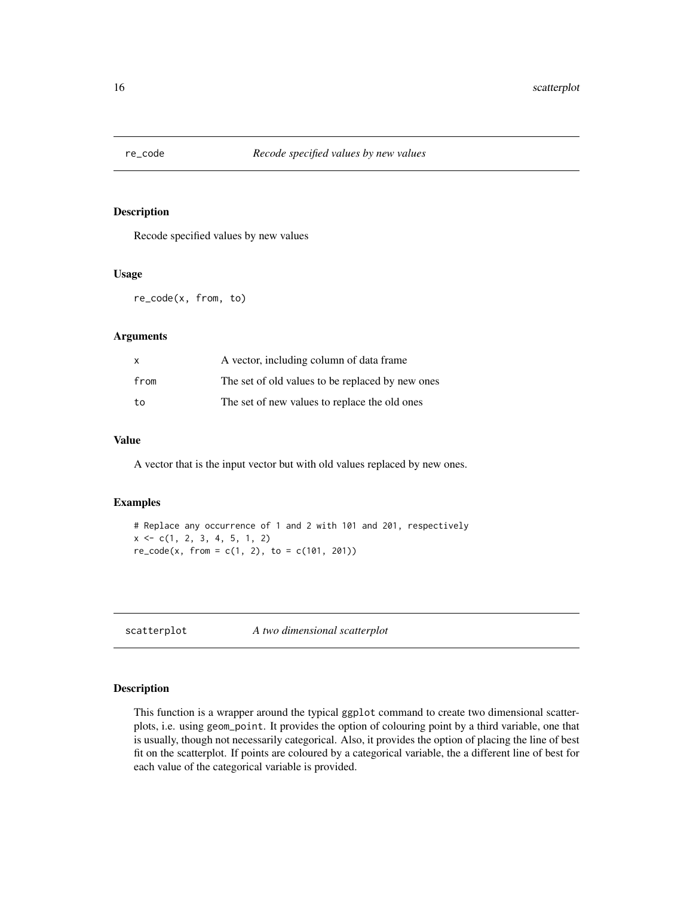<span id="page-15-0"></span>

#### Description

Recode specified values by new values

#### Usage

re\_code(x, from, to)

#### Arguments

| x    | A vector, including column of data frame         |  |
|------|--------------------------------------------------|--|
| from | The set of old values to be replaced by new ones |  |
| to   | The set of new values to replace the old ones    |  |

#### Value

A vector that is the input vector but with old values replaced by new ones.

#### Examples

```
# Replace any occurrence of 1 and 2 with 101 and 201, respectively
x \leftarrow c(1, 2, 3, 4, 5, 1, 2)re\_code(x, from = c(1, 2), to = c(101, 201))
```
scatterplot *A two dimensional scatterplot*

#### Description

This function is a wrapper around the typical ggplot command to create two dimensional scatterplots, i.e. using geom\_point. It provides the option of colouring point by a third variable, one that is usually, though not necessarily categorical. Also, it provides the option of placing the line of best fit on the scatterplot. If points are coloured by a categorical variable, the a different line of best for each value of the categorical variable is provided.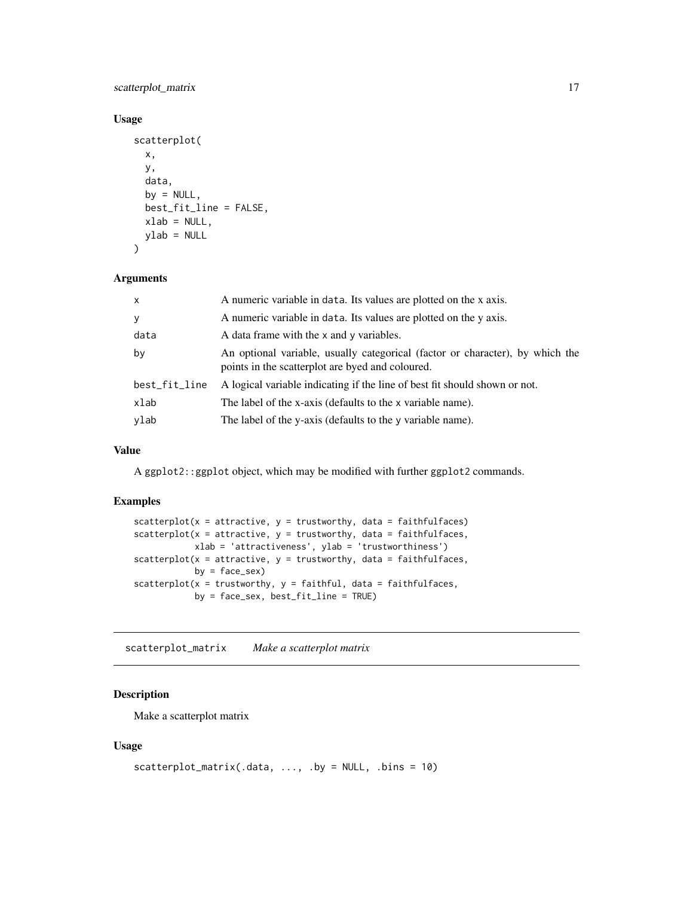#### <span id="page-16-0"></span>scatterplot\_matrix 17

#### Usage

```
scatterplot(
 x,
 y,
 data,
 by = NULL,best_fit_line = FALSE,
 xlab = NULL,
 ylab = NULL
)
```
#### Arguments

| $\mathsf{x}$  | A numeric variable in data. Its values are plotted on the x axis.                                                                 |  |
|---------------|-----------------------------------------------------------------------------------------------------------------------------------|--|
| y             | A numeric variable in data. Its values are plotted on the y axis.                                                                 |  |
| data          | A data frame with the x and y variables.                                                                                          |  |
| by            | An optional variable, usually categorical (factor or character), by which the<br>points in the scatterplot are byed and coloured. |  |
| best_fit_line | A logical variable indicating if the line of best fit should shown or not.                                                        |  |
| xlab          | The label of the x-axis (defaults to the x variable name).                                                                        |  |
| ylab          | The label of the y-axis (defaults to the y variable name).                                                                        |  |

#### Value

A ggplot2::ggplot object, which may be modified with further ggplot2 commands.

#### Examples

```
scatterplot(x = attractive, y = trustworthy, data = faithfulfaces)scatterplot(x = attractive, y = trustworthy, data = faithfulfaces,xlab = 'attractiveness', ylab = 'trustworthiness')
scatterplot(x = attractive, y = trustworthy, data = faithfulfaces,
           by = face_sex)
scatterplot(x = trustworthy, y = faithful, data = faithfulfaces,
           by = face_sex, best_fit_line = TRUE)
```
scatterplot\_matrix *Make a scatterplot matrix*

## Description

Make a scatterplot matrix

#### Usage

```
scatterplot_matrix(.data, \dots, .by = NULL, .bins = 10)
```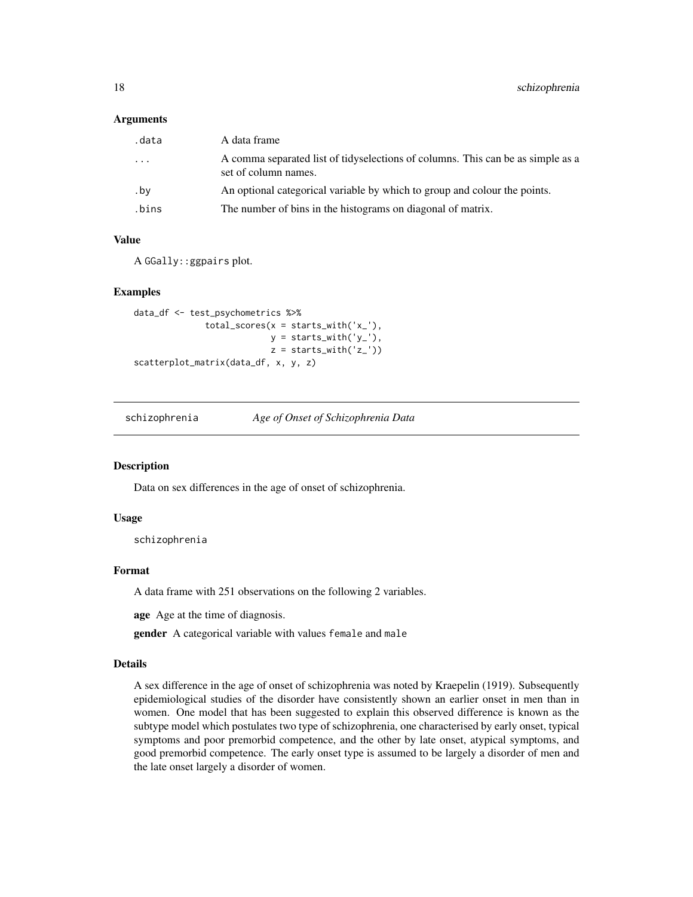#### <span id="page-17-0"></span>Arguments

| .data    | A data frame                                                                                            |
|----------|---------------------------------------------------------------------------------------------------------|
| $\cdots$ | A comma separated list of tidyselections of columns. This can be as simple as a<br>set of column names. |
| .by      | An optional categorical variable by which to group and colour the points.                               |
| .bins    | The number of bins in the histograms on diagonal of matrix.                                             |

#### Value

A GGally::ggpairs plot.

#### Examples

```
data_df <- test_psychometrics %>%
              total\_scores(x = starts\_with('x'_),
                           y = starts_with('y_'),
                           z = starts_with('z_'))
scatterplot_matrix(data_df, x, y, z)
```
schizophrenia *Age of Onset of Schizophrenia Data*

#### **Description**

Data on sex differences in the age of onset of schizophrenia.

#### Usage

schizophrenia

#### Format

A data frame with 251 observations on the following 2 variables.

age Age at the time of diagnosis.

gender A categorical variable with values female and male

#### Details

A sex difference in the age of onset of schizophrenia was noted by Kraepelin (1919). Subsequently epidemiological studies of the disorder have consistently shown an earlier onset in men than in women. One model that has been suggested to explain this observed difference is known as the subtype model which postulates two type of schizophrenia, one characterised by early onset, typical symptoms and poor premorbid competence, and the other by late onset, atypical symptoms, and good premorbid competence. The early onset type is assumed to be largely a disorder of men and the late onset largely a disorder of women.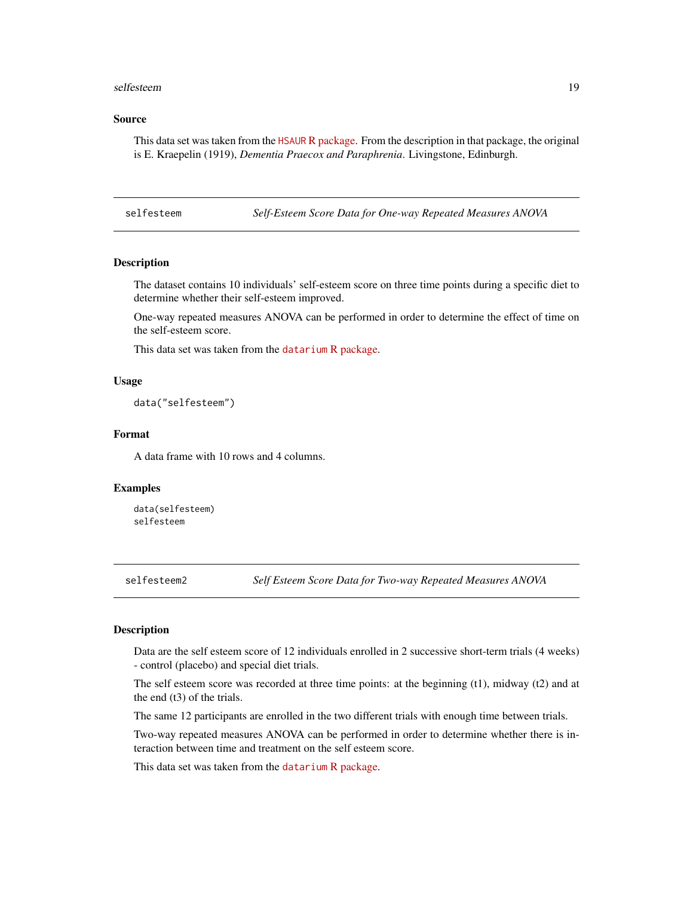#### <span id="page-18-0"></span>selfesteem aan de begin in de stelfesteem aan de begin in de stelfesteem aan de begin in de stelfesteem aan de

#### Source

This data set was taken from the HSAUR [R package.](https://cran.r-project.org/package=HSAUR) From the description in that package, the original is E. Kraepelin (1919), *Dementia Praecox and Paraphrenia*. Livingstone, Edinburgh.

selfesteem *Self-Esteem Score Data for One-way Repeated Measures ANOVA*

#### **Description**

The dataset contains 10 individuals' self-esteem score on three time points during a specific diet to determine whether their self-esteem improved.

One-way repeated measures ANOVA can be performed in order to determine the effect of time on the self-esteem score.

This data set was taken from the datarium [R package.](https://cran.r-project.org/package=datarium)

#### Usage

data("selfesteem")

#### Format

A data frame with 10 rows and 4 columns.

#### Examples

data(selfesteem) selfesteem

selfesteem2 *Self Esteem Score Data for Two-way Repeated Measures ANOVA*

#### Description

Data are the self esteem score of 12 individuals enrolled in 2 successive short-term trials (4 weeks) - control (placebo) and special diet trials.

The self esteem score was recorded at three time points: at the beginning  $(t1)$ , midway  $(t2)$  and at the end (t3) of the trials.

The same 12 participants are enrolled in the two different trials with enough time between trials.

Two-way repeated measures ANOVA can be performed in order to determine whether there is interaction between time and treatment on the self esteem score.

This data set was taken from the datarium [R package.](https://cran.r-project.org/package=datarium)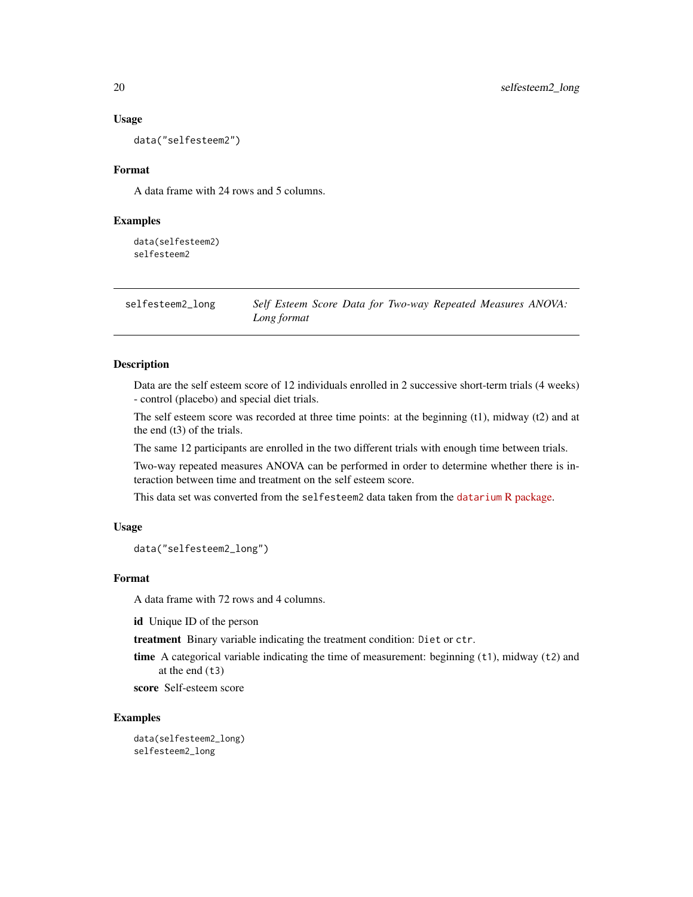#### Usage

data("selfesteem2")

#### Format

A data frame with 24 rows and 5 columns.

#### Examples

data(selfesteem2) selfesteem2

selfesteem2\_long *Self Esteem Score Data for Two-way Repeated Measures ANOVA: Long format*

#### Description

Data are the self esteem score of 12 individuals enrolled in 2 successive short-term trials (4 weeks) - control (placebo) and special diet trials.

The self esteem score was recorded at three time points: at the beginning (t1), midway (t2) and at the end (t3) of the trials.

The same 12 participants are enrolled in the two different trials with enough time between trials.

Two-way repeated measures ANOVA can be performed in order to determine whether there is interaction between time and treatment on the self esteem score.

This data set was converted from the selfesteem2 data taken from the datarium [R package.](https://cran.r-project.org/package=datarium)

#### Usage

data("selfesteem2\_long")

#### Format

A data frame with 72 rows and 4 columns.

id Unique ID of the person

treatment Binary variable indicating the treatment condition: Diet or ctr.

time A categorical variable indicating the time of measurement: beginning  $(t1)$ , midway  $(t2)$  and at the end  $(t3)$ 

score Self-esteem score

#### Examples

data(selfesteem2\_long) selfesteem2\_long

<span id="page-19-0"></span>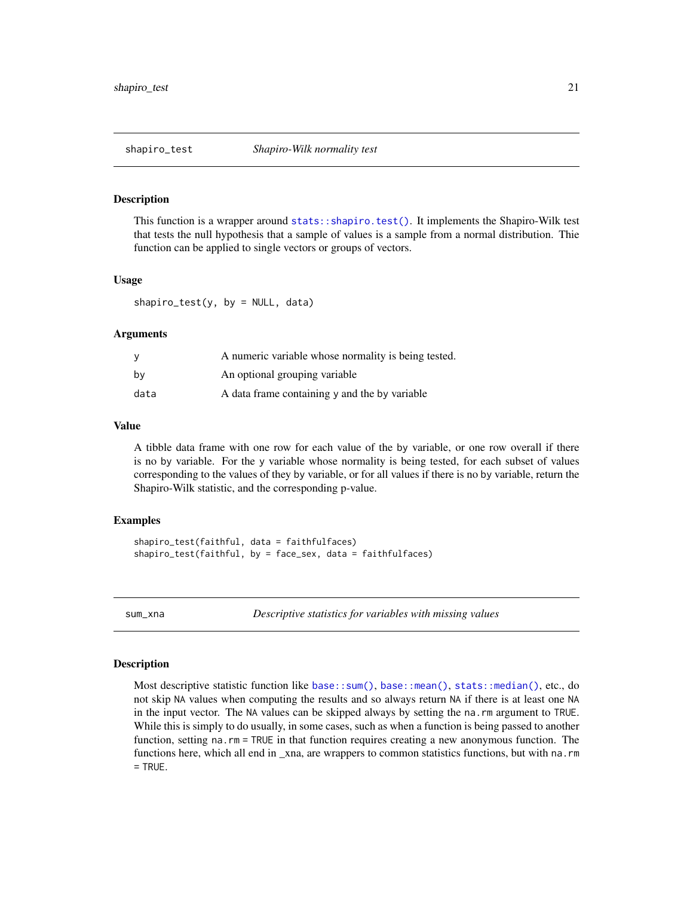<span id="page-20-0"></span>

#### Description

This function is a wrapper around [stats::shapiro.test\(\)](#page-0-0). It implements the Shapiro-Wilk test that tests the null hypothesis that a sample of values is a sample from a normal distribution. Thie function can be applied to single vectors or groups of vectors.

#### Usage

 $shapiro_test(y, by = NULL, data)$ 

#### Arguments

|      | A numeric variable whose normality is being tested. |
|------|-----------------------------------------------------|
| bv   | An optional grouping variable                       |
| data | A data frame containing y and the by variable       |

#### Value

A tibble data frame with one row for each value of the by variable, or one row overall if there is no by variable. For the y variable whose normality is being tested, for each subset of values corresponding to the values of they by variable, or for all values if there is no by variable, return the Shapiro-Wilk statistic, and the corresponding p-value.

#### Examples

```
shapiro_test(faithful, data = faithfulfaces)
shapiro_test(faithful, by = face_sex, data = faithfulfaces)
```
sum\_xna *Descriptive statistics for variables with missing values*

#### Description

Most descriptive statistic function like [base::sum\(\)](#page-0-0), [base::mean\(\)](#page-0-0), [stats::median\(\)](#page-0-0), etc., do not skip NA values when computing the results and so always return NA if there is at least one NA in the input vector. The NA values can be skipped always by setting the na.rm argument to TRUE. While this is simply to do usually, in some cases, such as when a function is being passed to another function, setting na.rm = TRUE in that function requires creating a new anonymous function. The functions here, which all end in \_xna, are wrappers to common statistics functions, but with na.rm  $=$  TRUE.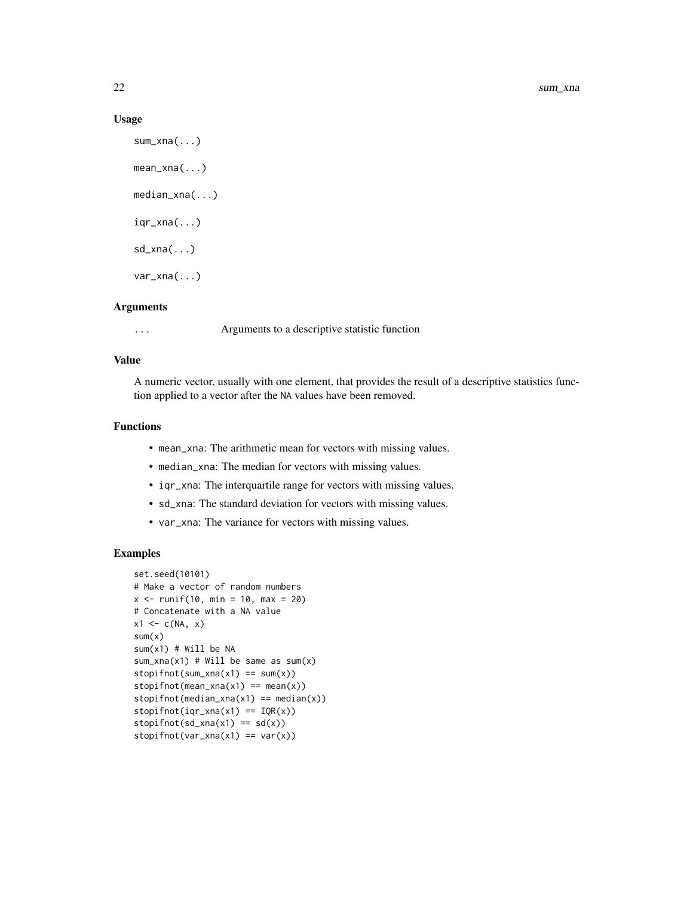#### Usage

```
sum_xna(...)
mean_xna(...)
median_xna(...)
iqr\_xna(...)sd_xna(...)
var_xna(...)
```
#### Arguments

... Arguments to a descriptive statistic function

#### Value

A numeric vector, usually with one element, that provides the result of a descriptive statistics function applied to a vector after the NA values have been removed.

#### Functions

- mean\_xna: The arithmetic mean for vectors with missing values.
- median\_xna: The median for vectors with missing values.
- iqr\_xna: The interquartile range for vectors with missing values.
- sd\_xna: The standard deviation for vectors with missing values.
- var\_xna: The variance for vectors with missing values.

#### Examples

```
set.seed(10101)
# Make a vector of random numbers
x < - runif(10, min = 10, max = 20)
# Concatenate with a NA value
x1 \leftarrow c(NA, x)sum(x)
sum(x1) # Will be NA
sum_xna(x1) # Will be same as sum(x)stopifnot(sum\_xna(x1) == sum(x))stopifnot(mean_xna(x1) == mean(x))stopifnot(median_xna(x1) == median(x))stopifnot(iqr\_xna(x1) == IQR(x))stopifnot(sd_xna(x1) == sd(x))stopifnot(var\_xna(x1) == var(x))
```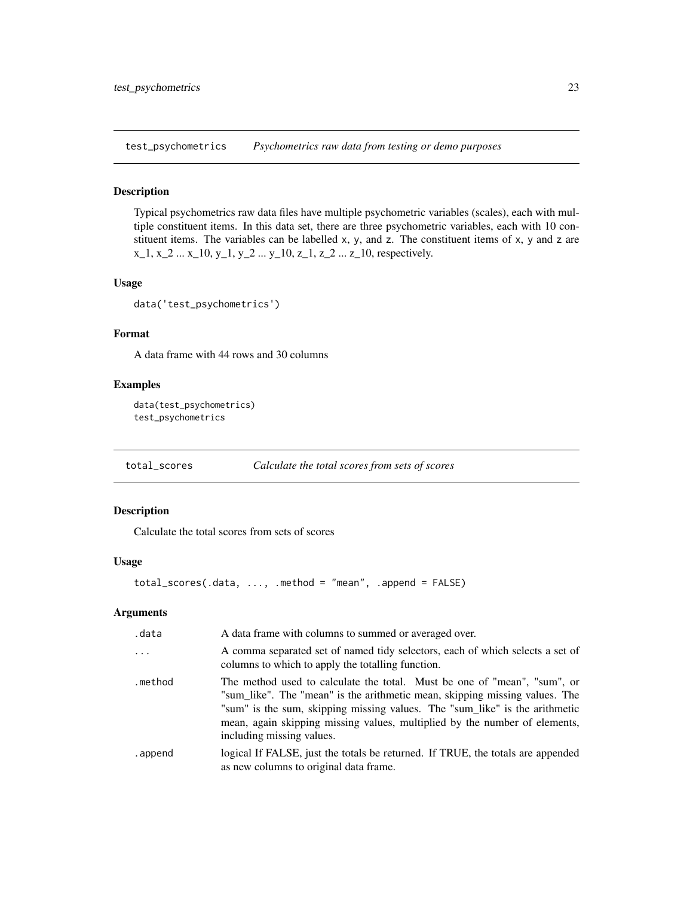<span id="page-22-0"></span>test\_psychometrics *Psychometrics raw data from testing or demo purposes*

#### Description

Typical psychometrics raw data files have multiple psychometric variables (scales), each with multiple constituent items. In this data set, there are three psychometric variables, each with 10 constituent items. The variables can be labelled  $x$ ,  $y$ , and  $z$ . The constituent items of  $x$ ,  $y$  and  $z$  are  $x_1, x_2, \ldots, x_{10}, y_1, y_2, \ldots, y_{10}, z_{1}, z_{2}, \ldots, z_{10}$ , respectively.

#### Usage

data('test\_psychometrics')

#### Format

A data frame with 44 rows and 30 columns

#### Examples

```
data(test_psychometrics)
test_psychometrics
```
total\_scores *Calculate the total scores from sets of scores*

#### Description

Calculate the total scores from sets of scores

#### Usage

total\_scores(.data, ..., .method = "mean", .append = FALSE)

#### Arguments

| .data    | A data frame with columns to summed or averaged over.                                                                                                                                                                                                                                                                                             |  |
|----------|---------------------------------------------------------------------------------------------------------------------------------------------------------------------------------------------------------------------------------------------------------------------------------------------------------------------------------------------------|--|
| $\cdots$ | A comma separated set of named tidy selectors, each of which selects a set of<br>columns to which to apply the totalling function.                                                                                                                                                                                                                |  |
| .method  | The method used to calculate the total. Must be one of "mean", "sum", or<br>"sum_like". The "mean" is the arithmetic mean, skipping missing values. The<br>"sum" is the sum, skipping missing values. The "sum_like" is the arithmetic<br>mean, again skipping missing values, multiplied by the number of elements,<br>including missing values. |  |
| .append  | logical If FALSE, just the totals be returned. If TRUE, the totals are appended<br>as new columns to original data frame.                                                                                                                                                                                                                         |  |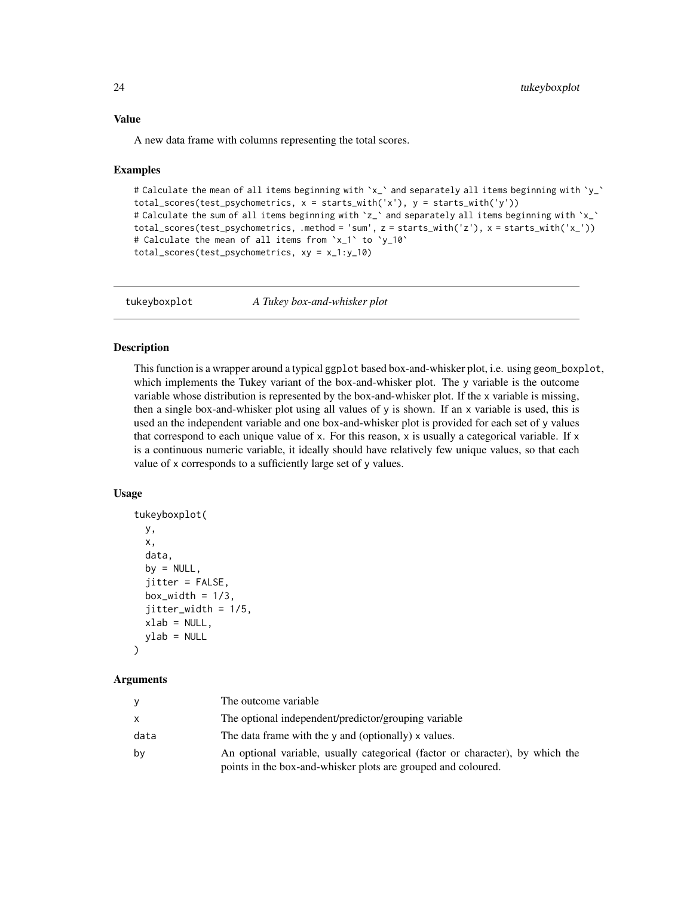#### <span id="page-23-0"></span>Value

A new data frame with columns representing the total scores.

#### Examples

```
# Calculate the mean of all items beginning with 'x_' and separately all items beginning with 'y_'
total_scores(test_psychometrics, x = starts_with('x'), y = starts_with('y'))
# Calculate the sum of all items beginning with 'z_' and separately all items beginning with 'x_'
total_scores(test_psychometrics, .method = 'sum', z = starts_with('z'), x = starts_with('x_'))
# Calculate the mean of all items from `x_1` to `y_10`
total_scores(test_psychometrics, xy = x_1:y_10)
```
tukeyboxplot *A Tukey box-and-whisker plot*

#### Description

This function is a wrapper around a typical ggplot based box-and-whisker plot, i.e. using geom\_boxplot, which implements the Tukey variant of the box-and-whisker plot. The y variable is the outcome variable whose distribution is represented by the box-and-whisker plot. If the x variable is missing, then a single box-and-whisker plot using all values of y is shown. If an x variable is used, this is used an the independent variable and one box-and-whisker plot is provided for each set of y values that correspond to each unique value of x. For this reason, x is usually a categorical variable. If  $x$ is a continuous numeric variable, it ideally should have relatively few unique values, so that each value of x corresponds to a sufficiently large set of y values.

#### Usage

```
tukeyboxplot(
 y,
 x,
  data,
 by = NULL,
  jitter = FALSE,
 box_width = 1/3,
  jitter\_width = 1/5,
  xlab = NULL,ylab = NULL
```
# $\lambda$

#### Arguments

| У    | The outcome variable                                                                                                                           |
|------|------------------------------------------------------------------------------------------------------------------------------------------------|
| X    | The optional independent/predictor/grouping variable                                                                                           |
| data | The data frame with the $\gamma$ and (optionally) x values.                                                                                    |
| by   | An optional variable, usually categorical (factor or character), by which the<br>points in the box-and-whisker plots are grouped and coloured. |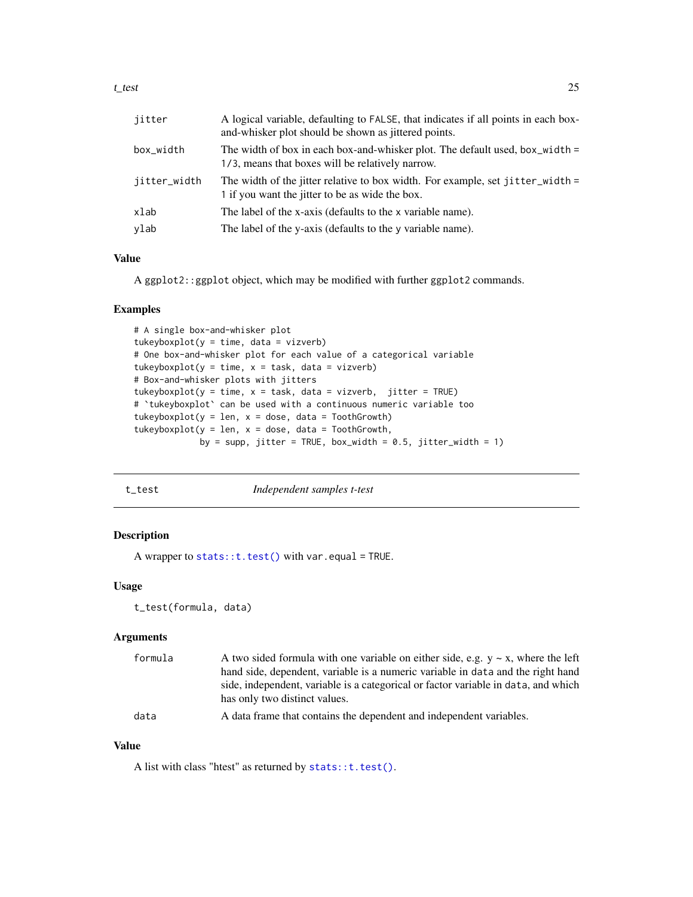<span id="page-24-0"></span>

| jitter       | A logical variable, defaulting to FALSE, that indicates if all points in each box-<br>and-whisker plot should be shown as jittered points. |
|--------------|--------------------------------------------------------------------------------------------------------------------------------------------|
| box_width    | The width of box in each box-and-whisker plot. The default used, box_width =<br>1/3, means that boxes will be relatively narrow.           |
| jitter_width | The width of the jitter relative to box width. For example, set jitter_width =<br>1 if you want the jitter to be as wide the box.          |
| xlab         | The label of the x-axis (defaults to the x variable name).                                                                                 |
| ylab         | The label of the y-axis (defaults to the y variable name).                                                                                 |

#### Value

A ggplot2::ggplot object, which may be modified with further ggplot2 commands.

#### Examples

```
# A single box-and-whisker plot
tukeyboxplot(y = time, data = vizverb)# One box-and-whisker plot for each value of a categorical variable
tukeyboxplot(y = time, x = task, data = vizverb)# Box-and-whisker plots with jitters
tukeyboxplot(y = time, x = task, data = vizverb, jitter = TRUE)# `tukeyboxplot` can be used with a continuous numeric variable too
tukeyboxplot(y = len, x = dose, data = ToothGrowth)
tukeyboxplot(y = len, x = dose, data = ToothGrowth,
            by = supp, jitter = TRUE, box_width = 0.5, jitter_width = 1)
```

| , |  |
|---|--|
|   |  |

t\_test *Independent samples t-test*

#### Description

A wrapper to stats::  $t.test()$  with var.equal = TRUE.

### Usage

```
t_test(formula, data)
```
#### Arguments

| formula | A two sided formula with one variable on either side, e.g. $y \sim x$ , where the left |
|---------|----------------------------------------------------------------------------------------|
|         | hand side, dependent, variable is a numeric variable in data and the right hand        |
|         | side, independent, variable is a categorical or factor variable in data, and which     |
|         | has only two distinct values.                                                          |
| data    | A data frame that contains the dependent and independent variables.                    |

#### Value

A list with class "htest" as returned by [stats::t.test\(\)](#page-0-0).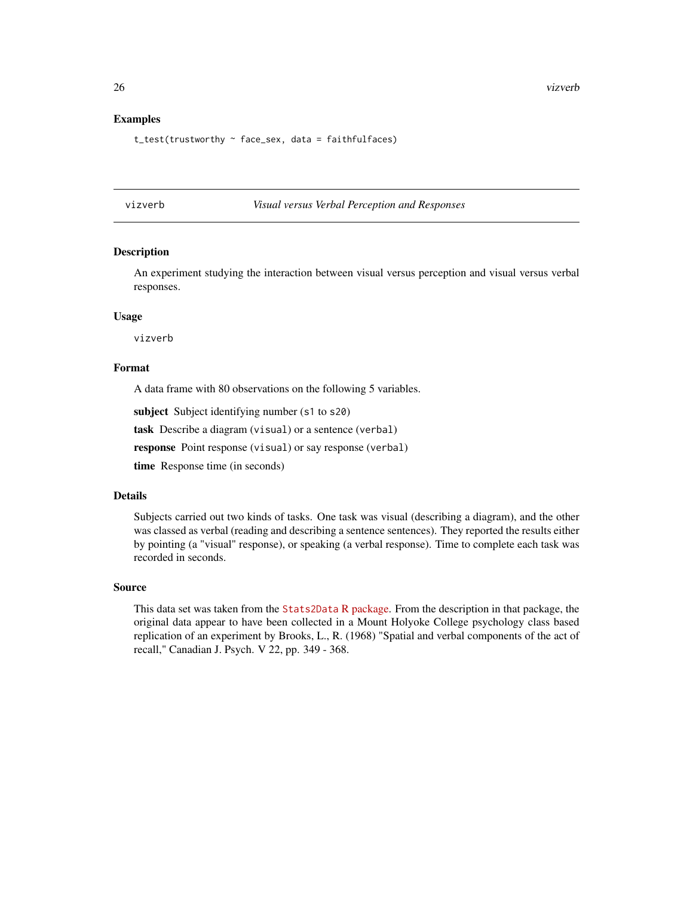#### <span id="page-25-0"></span>Examples

t\_test(trustworthy ~ face\_sex, data = faithfulfaces)

#### vizverb *Visual versus Verbal Perception and Responses*

#### Description

An experiment studying the interaction between visual versus perception and visual versus verbal responses.

#### Usage

vizverb

#### Format

A data frame with 80 observations on the following 5 variables.

subject Subject identifying number (s1 to s20)

task Describe a diagram (visual) or a sentence (verbal)

response Point response (visual) or say response (verbal)

time Response time (in seconds)

#### Details

Subjects carried out two kinds of tasks. One task was visual (describing a diagram), and the other was classed as verbal (reading and describing a sentence sentences). They reported the results either by pointing (a "visual" response), or speaking (a verbal response). Time to complete each task was recorded in seconds.

#### Source

This data set was taken from the [Stats2Data](https://cran.r-project.org/package=Stat2Data) R package. From the description in that package, the original data appear to have been collected in a Mount Holyoke College psychology class based replication of an experiment by Brooks, L., R. (1968) "Spatial and verbal components of the act of recall," Canadian J. Psych. V 22, pp. 349 - 368.